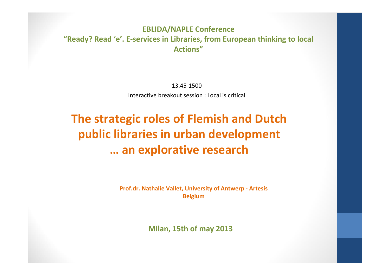## **EBLIDA/NAPLE Conference "Ready? Read 'e'. E‐services in Libraries, from European thinking to local Actions"**

13.45‐1500Interactive breakout session : Local is critical

## **The strategic roles of Flemish and Dutch public libraries in urban development … an explorative research**

**Prof.dr. Nathalie Vallet, University of Antwerp ‐ Artesis Belgium**

**Milan, 15th of may 2013**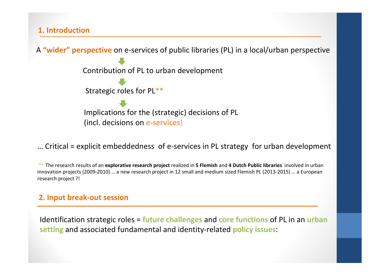**1. Introduction**



… Critical <sup>=</sup> explicit embeddedness of <sup>e</sup>‐services in PL strategy for urban development

\*\* The research results of an **explorative research project** realized in **5 Flemish** and **4 Dutch Public libraries** involved in urban innovation projects (2009‐2010) … <sup>a</sup> new research project in 12 small and medium sized Flemish PL (2013‐2015) … <sup>a</sup> European research project ?!

## **2. Input break‐out session**

Identification strategic roles <sup>=</sup> **future challenges** and **core functions** of PL in an **urban setting** and associated fundamental and identity‐related **policy issues**: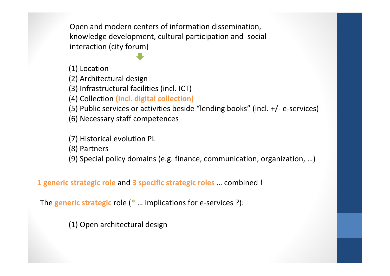Open and modern centers of information dissemination, knowledge development, cultural participation and social interaction (city forum)

(1) Location

(2) Architectural design

(3) Infrastructural facilities (incl. ICT)

(4) Collection **(incl. digital collection)**

(5) Public services or activities beside "lending books" (incl. +/‐ <sup>e</sup>‐services)

(6) Necessary staff competences

(7) Historical evolution PL

(8) Partners

(9) Special policy domains (e.g. finance, communication, organization, …)

**1 generic strategic role** and **3 specific strategic roles** … combined !

The **generic strategic** role (\* … implications for <sup>e</sup>‐services ?):

(1) Open architectural design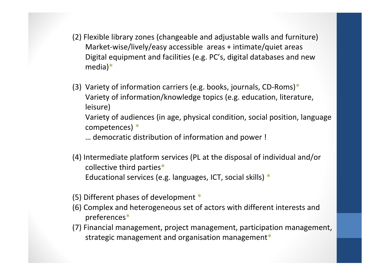- (2) Flexible library zones (changeable and adjustable walls and furniture) Market‐wise/lively/easy accessible areas <sup>+</sup> intimate/quiet areas Digital equipment and facilities (e.g. PC's, digital databases and new media)**\***
- (3) Variety of information carriers (e.g. books, journals, CD‐Roms)**\*** Variety of information/knowledge topics (e.g. education, literature, leisure)

Variety of audiences (in age, physical condition, social position, language competences) **\***

… democratic distribution of information and power !

- (4) Intermediate platform services (PL at the disposal of individual and/or collective third parties**\*** Educational services (e.g. languages, ICT, social skills) **\***
- (5) Different phases of development **\***
- (6) Complex and heterogeneous set of actors with different interests and preferences**\***
- (7) Financial management, project management, participation management, strategic management and organisation management**\***